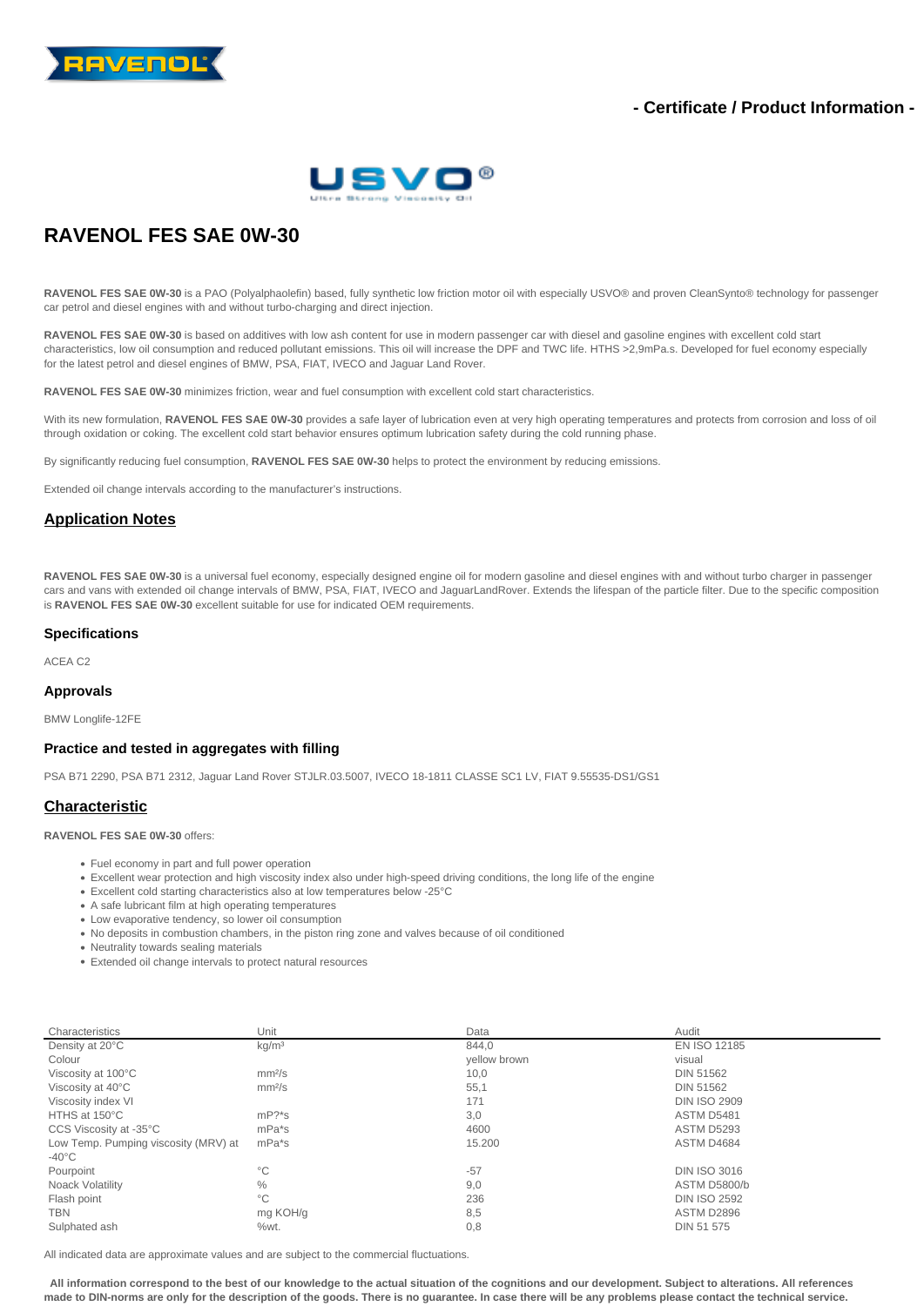

# **- Certificate / Product Information -**



# **RAVENOL FES SAE 0W-30**

**RAVENOL FES SAE 0W-30** is a PAO (Polyalphaolefin) based, fully synthetic low friction motor oil with especially USVO® and proven CleanSynto® technology for passenger car petrol and diesel engines with and without turbo-charging and direct injection.

RAVENOL FES SAE 0W-30 is based on additives with low ash content for use in modern passenger car with diesel and gasoline engines with excellent cold start characteristics, low oil consumption and reduced pollutant emissions. This oil will increase the DPF and TWC life. HTHS >2,9mPa.s. Developed for fuel economy especially for the latest petrol and diesel engines of BMW, PSA, FIAT, IVECO and Jaguar Land Rover.

**RAVENOL FES SAE 0W-30** minimizes friction, wear and fuel consumption with excellent cold start characteristics.

With its new formulation, RAVENOL FES SAE 0W-30 provides a safe layer of lubrication even at very high operating temperatures and protects from corrosion and loss of oil through oxidation or coking. The excellent cold start behavior ensures optimum lubrication safety during the cold running phase.

By significantly reducing fuel consumption, **RAVENOL FES SAE 0W-30** helps to protect the environment by reducing emissions.

Extended oil change intervals according to the manufacturer's instructions.

## **Application Notes**

**RAVENOL FES SAE 0W-30** is a universal fuel economy, especially designed engine oil for modern gasoline and diesel engines with and without turbo charger in passenger cars and vans with extended oil change intervals of BMW, PSA, FIAT, IVECO and JaguarLandRover. Extends the lifespan of the particle filter. Due to the specific composition is **RAVENOL FES SAE 0W-30** excellent suitable for use for indicated OEM requirements.

#### **Specifications**

ACEA C2

#### **Approvals**

BMW Longlife-12FE

#### **Practice and tested in aggregates with filling**

PSA B71 2290, PSA B71 2312, Jaguar Land Rover STJLR.03.5007, IVECO 18-1811 CLASSE SC1 LV, FIAT 9.55535-DS1/GS1

## **Characteristic**

**RAVENOL FES SAE 0W-30** offers:

- Fuel economy in part and full power operation
- Excellent wear protection and high viscosity index also under high-speed driving conditions, the long life of the engine
- Excellent cold starting characteristics also at low temperatures below -25°C
- A safe lubricant film at high operating temperatures
- Low evaporative tendency, so lower oil consumption
- No deposits in combustion chambers, in the piston ring zone and valves because of oil conditioned
- Neutrality towards sealing materials
- Extended oil change intervals to protect natural resources

| Characteristics                      | Unit               | Data         | Audit               |
|--------------------------------------|--------------------|--------------|---------------------|
| Density at 20°C                      | kg/m <sup>3</sup>  | 844.0        | EN ISO 12185        |
| Colour                               |                    | yellow brown | visual              |
| Viscosity at 100°C                   | mm <sup>2</sup> /s | 10,0         | <b>DIN 51562</b>    |
| Viscosity at 40°C                    | mm <sup>2</sup> /s | 55,1         | <b>DIN 51562</b>    |
| Viscosity index VI                   |                    | 171          | <b>DIN ISO 2909</b> |
| HTHS at 150°C                        | $mP$ ?*s           | 3,0          | ASTM D5481          |
| CCS Viscosity at -35°C               | mPa <sup>*</sup> s | 4600         | <b>ASTM D5293</b>   |
| Low Temp. Pumping viscosity (MRV) at | mPa*s              | 15.200       | ASTM D4684          |
| $-40^{\circ}$ C                      |                    |              |                     |
| Pourpoint                            | $^{\circ}$ C       | $-57$        | <b>DIN ISO 3016</b> |
| Noack Volatility                     | $\%$               | 9,0          | ASTM D5800/b        |
| Flash point                          | $^{\circ}$ C       | 236          | <b>DIN ISO 2592</b> |
| <b>TBN</b>                           | mg KOH/g           | 8,5          | ASTM D2896          |
| Sulphated ash                        | %wt.               | 0,8          | DIN 51 575          |

All indicated data are approximate values and are subject to the commercial fluctuations.

 **All information correspond to the best of our knowledge to the actual situation of the cognitions and our development. Subject to alterations. All references made to DIN-norms are only for the description of the goods. There is no guarantee. In case there will be any problems please contact the technical service.**